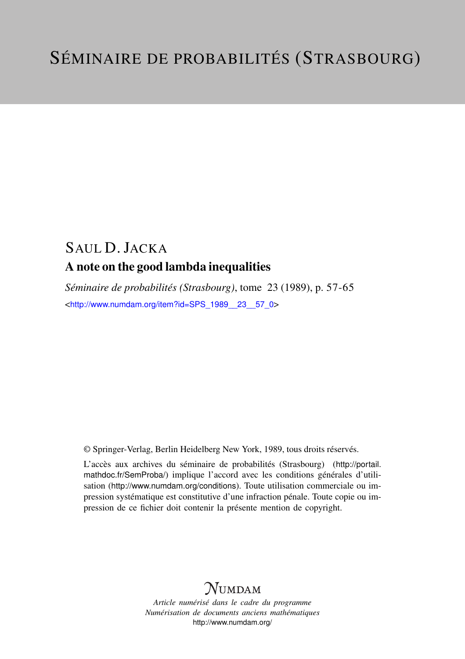## SAUL D. JACKA A note on the good lambda inequalities

*Séminaire de probabilités (Strasbourg)*, tome 23 (1989), p. 57-65 <[http://www.numdam.org/item?id=SPS\\_1989\\_\\_23\\_\\_57\\_0](http://www.numdam.org/item?id=SPS_1989__23__57_0)>

© Springer-Verlag, Berlin Heidelberg New York, 1989, tous droits réservés.

L'accès aux archives du séminaire de probabilités (Strasbourg) ([http://portail.](http://portail.mathdoc.fr/SemProba/) [mathdoc.fr/SemProba/](http://portail.mathdoc.fr/SemProba/)) implique l'accord avec les conditions générales d'utilisation (<http://www.numdam.org/conditions>). Toute utilisation commerciale ou impression systématique est constitutive d'une infraction pénale. Toute copie ou impression de ce fichier doit contenir la présente mention de copyright.

# **NUMDAM**

*Article numérisé dans le cadre du programme Numérisation de documents anciens mathématiques* <http://www.numdam.org/>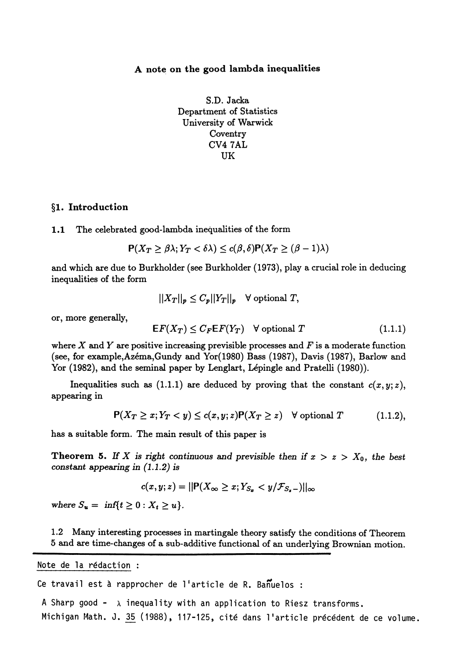### A note on the good lambda inequalities

S.D. Jacka Department of Statistics University of Warwick Coventry CV47AL UK

#### §1. Introduction

1.1 The celebrated good-lambda inequalities of the form

$$
\mathsf{P}(X_T \geq \beta \lambda; Y_T < \delta \lambda) \leq c(\beta, \delta) \mathsf{P}(X_T \geq (\beta - 1)\lambda)
$$

and which are due to Burkholder (see Burkholder ( 1973), play a crucial role in deducing inequalities of the form

$$
||X_T||_p \leq C_p ||Y_T||_p \quad \forall \text{ optional } T,
$$

or, more generally,

$$
EF(X_T) \le C_F EF(Y_T) \quad \forall \text{ optional } T \tag{1.1.1}
$$

where X and Y are positive increasing previsible processes and  $F$  is a moderate function (see, for example,Azéma,Gundy and Yor(1980) Bass (1987), Davis (1987), Barlow and Yor (1982), and the seminal paper by Lenglart, Lépingle and Pratelli (1980)).

Inequalities such as (1.1.1) are deduced by proving that the constant  $c(x,y;z)$ , appearing in

$$
\mathsf{P}(X_T \geq x; Y_T < y) \leq c(x, y; z) \mathsf{P}(X_T \geq z) \quad \forall \text{ optional } T \tag{1.1.2},
$$

has a suitable form. The main result of this paper is

**Theorem 5.** If X is right continuous and previsible then if  $x > z > X_0$ , the best constant appearing in (1.1.2) is

$$
c(x,y;z) = ||\mathbf{P}(X_{\infty} \geq x; Y_{S_x} < y/\mathcal{F}_{S_x-})||_{\infty}
$$

where  $S_u = \inf\{t \ge 0 : X_t \ge u\}.$ 

1.2 Many interesting processes in martingale theory satisfy the conditions of Theorem 5 and are time-changes of a sub-additive functional of an underlying Brownian motion.

Note de la redaction : :

Ce travail est à rapprocher de 1'article de R. Bañuelos :

A Sharp good -  $\lambda$  inequality with an application to Riesz transforms. Michigan Math. J. 35 (1988), 117-125, cité dans l'article précédent de ce volume.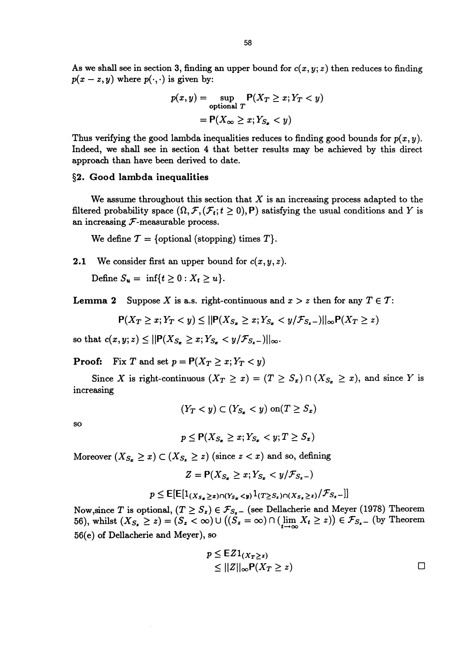As we shall see in section 3, finding an upper bound for  $c(x, y; z)$  then reduces to finding  $p(x-z, y)$  where  $p(\cdot, \cdot)$  is given by:

$$
p(x, y) = \sup_{\text{optional } T} P(X_T \ge x; Y_T < y)
$$
\n
$$
= P(X_{\infty} \ge x; Y_{S_x} < y)
$$

Thus verifying the good lambda inequalities reduces to finding good bounds for  $p(x, y)$ . Indeed, we shall see in section 4 that better results may be achieved by this direct approach than have been derived to date.

#### §2. Good lambda inequalities

We assume throughout this section that  $X$  is an increasing process adapted to the filtered probability space  $(\Omega, \mathcal{F}, (\mathcal{F}_t; t \geq 0), P)$  satisfying the usual conditions and Y is an increasing  $F$ -measurable process.

We define  $\mathcal{T} = \{$  optional (stopping) times  $T\}.$ 

**2.1** We consider first an upper bound for  $c(x, y, z)$ .

Define  $S_u = \inf\{t \ge 0 : X_t \ge u\}.$ 

**Lemma 2** Suppose X is a.s. right-continuous and  $x > z$  then for any  $T \in \mathcal{T}$ :

$$
\mathsf{P}(X_T \geq x; Y_T < y) \leq ||\mathsf{P}(X_{S_x} \geq x; Y_{S_x} < y/\mathcal{F}_{S_x-})||_{\infty} \mathsf{P}(X_T \geq z)
$$

so that  $c(x, y; z) \le ||P(X_{S_x} \ge x; Y_{S_x} < y/\mathcal{F}_{S_x-})||_{\infty}$ .

**Proof:** Fix T and set  $p = P(X_T \ge x; Y_T < y)$ 

Since X is right-continuous  $(X_T \ge x) = (T \ge S_x) \cap (X_{S_x} \ge x)$ , and since Y is increasing

$$
(Y_T < y) \subset (Y_{S_x} < y) \text{ on} (T \ge S_x)
$$

so

$$
p \leq \mathsf{P}(X_{S_x} \geq x; Y_{S_x} < y; T \geq S_x)
$$

Moreover  $(X_{S_x} \geq x) \subset (X_{S_x} \geq z)$  (since  $z < x$ ) and so, defining

$$
Z = \mathsf{P}(X_{S_x} \geq x; Y_{S_x} < y/\mathcal{F}_{S_x-})
$$

$$
p \leq \mathsf{E}[\mathsf{E}[1_{(X_{S_x} \geq x) \cap (Y_{S_x} < y)} 1_{(T \geq S_x) \cap (X_{S_x} \geq z)} / \mathcal{F}_{S_x}]
$$

Now, since T is optional,  $(T \geq S_z) \in \mathcal{F}_{S_z}$  (see Dellacherie and Meyer (1978) Theorem 56), whilst  $(X_{S_z} \ge z) = (S_z < \infty) \cup ((S_z = \infty) \cap (\lim_{t \to \infty} X_t \ge z)) \in \mathcal{F}_{S_z}$  (by Theorem 56(e) of Dellacherie and Meyer), so

$$
p \leq \mathsf{EZ1}_{(X_T \geq z)}
$$
  
\n
$$
\leq ||Z||_{\infty} \mathsf{P}(X_T \geq z)
$$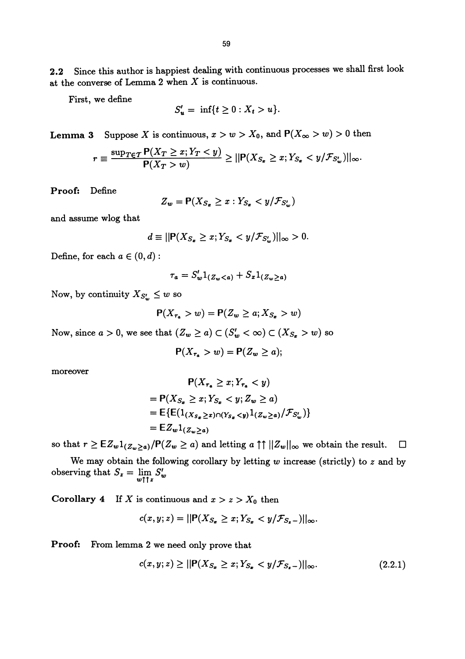2.2 Since this author is happiest dealing with continuous processes we shall first look at the converse of Lemma 2 when  $X$  is continuous.

First, we define

$$
S'_u = \inf\{t \ge 0 : X_t > u\}.
$$

**Lemma 3** Suppose X is continuous,  $x > w > X_0$ , and  $P(X_\infty > w) > 0$  then

$$
r \equiv \frac{\sup_{T \in \mathcal{T}} \mathsf{P}(X_T \geq x; Y_T < y)}{\mathsf{P}(X_T > w)} \geq ||\mathsf{P}(X_{S_x} \geq x; Y_{S_x} < y/\mathcal{F}_{S_w}')||_{\infty}.
$$

Proof: Define

$$
Z_w = \mathsf{P}(X_{S_x} \geq x : Y_{S_x} < y/\mathcal{F}_{S_w'})
$$

and assume wlog that

$$
d \equiv ||\mathbf{P}(X_{S_x} \geq x; Y_{S_x} < y/\mathcal{F}_{S_w'})||_{\infty} > 0.
$$

Define, for each  $a \in (0, d)$ :

$$
\tau_a = S_w' 1_{(Z_w < a)} + S_x 1_{(Z_w \ge a)}
$$

Now, by continuity  $X_{S_w'} \leq w$  so

$$
\mathsf{P}(X_{\tau_a} > w) = \mathsf{P}(Z_w \geq a; X_{S_x} > w)
$$

Now, since  $a > 0$ , we see that  $(Z_w \ge a) \subset (S'_w < \infty) \subset (X_{S_x} > w)$  so

$$
\mathsf{P}(X_{\tau_a} > w) = \mathsf{P}(Z_w \geq a);
$$

moreover

$$
\mathsf{P}(X_{\tau_a} \ge x; Y_{\tau_a} < y)
$$
\n
$$
= \mathsf{P}(X_{S_x} \ge x; Y_{S_x} < y; Z_w \ge a)
$$
\n
$$
= \mathsf{E}\{\mathsf{E}(1_{(X_{S_x} \ge x)\cap (Y_{S_x} < y)}1_{(Z_w \ge a)}/\mathcal{F}_{S'_w})\}
$$
\n
$$
= \mathsf{E}Z_w1_{(Z_w \ge a)}
$$

so that  $r \geq \mathbb{E}Z_w1_{(Z_w\geq a)}/P(Z_w\geq a)$  and letting  $a \uparrow \uparrow ||Z_w||_{\infty}$  we obtain the result.  $\square$ 

We may obtain the following corollary by letting  $w$  increase (strictly) to  $z$  and by observing that  $S_z = \lim_{w \uparrow \uparrow z} S'_w$ 

Corollary 4 If X is continuous and  $x > z > X_0$  then

$$
c(x,y;z) = ||\mathbf{P}(X_{S_x} \geq x; Y_{S_x} < y/\mathcal{F}_{S_x-})||_{\infty}
$$

Proof: From lemma 2 we need only prove that

$$
c(x, y; z) \ge ||\mathbf{P}(X_{S_x} \ge x; Y_{S_x} < y/\mathcal{F}_{S_x-})||_{\infty}.\tag{2.2.1}
$$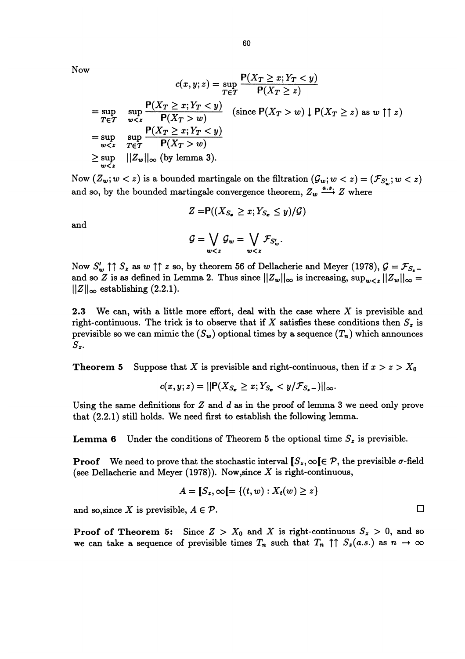Now

$$
c(x, y; z) = \sup_{T \in T} \frac{P(X_T \ge x; Y_T < y)}{P(X_T \ge z)}
$$
\n
$$
= \sup_{T \in T} \sup_{w < z} \frac{P(X_T \ge x; Y_T < y)}{P(X_T > w)} \quad \text{(since } P(X_T > w) \downarrow P(X_T \ge z) \text{ as } w \uparrow \uparrow z\text{)}
$$
\n
$$
= \sup_{w < z} \sup_{T \in T} \frac{P(X_T \ge x; Y_T < y)}{P(X_T > w)}
$$
\n
$$
\ge \sup_{w < z} ||Z_w||_{\infty} \text{ (by lemma 3)}.
$$

Now  $(Z_w; w < z)$  is a bounded martingale on the filtration  $(\mathcal{G}_w; w < z) = (\mathcal{F}_{S'_w}; w < z)$ and so, by the bounded martingale convergence theorem,  $Z_w \xrightarrow{a.s.} Z$  where

$$
Z=\mathsf{P}((X_{S_x}\geq x;Y_{S_x}\leq y)/\mathcal{G})
$$

and

$$
\mathcal{G}=\bigvee_{w
$$

Now  $S'_w$   $\uparrow \uparrow S_z$  as  $w \uparrow \uparrow z$  so, by theorem 56 of Dellacherie and Meyer (1978),  $\mathcal{G} = \mathcal{F}_{S_z}$ . and so Z is as defined in Lemma 2. Thus since  $||Z_w||_{\infty}$  is increasing,  $\sup_{w \leq z} ||Z_w||_{\infty} =$  $||Z||_{\infty}$  establishing (2.2.1).

2.3 We can, with a little more effort, deal with the case where  $X$  is previsible and right-continuous. The trick is to observe that if X satisfies these conditions then  $S_z$  is previsible so we can mimic the  $(S_w)$  optional times by a sequence  $(T_n)$  which announces  $S_{z}$ .

**Theorem 5** Suppose that X is previsible and right-continuous, then if  $x > z > X_0$ 

$$
c(x,y;z) = ||\mathbf{P}(X_{S_x} \geq x; Y_{S_x} < y/\mathcal{F}_{S_x-})||_{\infty}.
$$

Using the same definitions for  $Z$  and  $d$  as in the proof of lemma 3 we need only prove that (2.2.1) still holds. We need first to establish the following lemma.

**Lemma 6** Under the conditions of Theorem 5 the optional time  $S<sub>z</sub>$  is previsible.

**Proof** We need to prove that the stochastic interval  $[\mathcal{S}_x, \infty)$   $[\in \mathcal{P},$  the previsible  $\sigma$ -field (see Dellacherie and Meyer (1978)). Now, since  $X$  is right-continuous,

$$
A = [S_z, \infty] = \{(t, w) : X_t(w) \geq z\}
$$

and so, since X is previsible,  $A \in \mathcal{P}$ .

**Proof of Theorem 5:** Since  $Z > X_0$  and X is right-continuous  $S_z > 0$ , and so we can take a sequence of previsible times  $T_n$  such that  $T_n \uparrow \uparrow S_x(a.s.)$  as  $n \to \infty$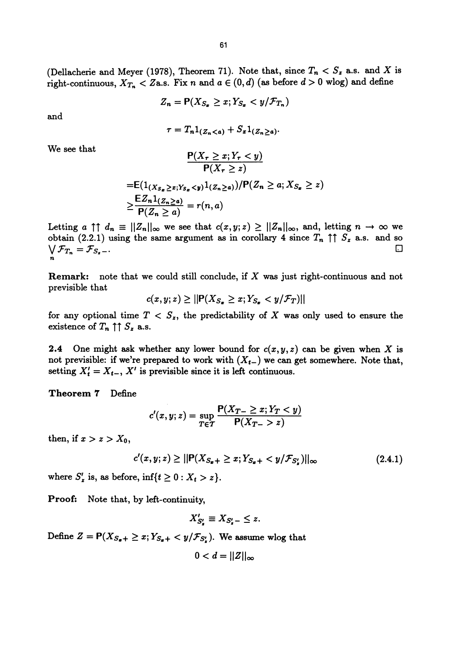(Dellacherie and Meyer (1978), Theorem 71). Note that, since  $T_n < S_z$  a.s. and X is right-continuous,  $X_{T_n} < Z$ a.s. Fix n and  $a \in (0, d)$  (as before  $d > 0$  wlog) and define

$$
Z_n = \mathsf{P}(X_{S_x} \geq x; Y_{S_x} < y/\mathcal{F}_{T_n})
$$

and

$$
\tau = T_n 1_{(Z_n < a)} + S_x 1_{(Z_n \geq a)}
$$

We see that

$$
\frac{P(X_r \ge z)}{P(X_r \ge z)}
$$
  
= $E(1_{(X_{S_x} \ge z; Y_{S_x} < y)}1_{(Z_n \ge a)})/P(Z_n \ge a; X_{S_x} \ge z)$   

$$
\ge \frac{EZ_n1_{(Z_n \ge a)}}{P(Z_n \ge a)} = r(n, a)
$$

 $P(X_r > x; Y_r < y)$ 

Letting  $a \uparrow \uparrow d_n \equiv ||Z_n||_{\infty}$  we see that  $c(x, y; z) \geq ||Z_n||_{\infty}$ , and, letting  $n \to \infty$  we obtain (2.2.1) using the same argument as in corollary 4 since  $T_n \uparrow \uparrow S_z$  a.s. and so . A construction of the construction of the construction of the construction of the construction of the constr<br>A construction of the construction of the construction of the construction of the construction of the construc  $\bigvee \mathcal{F}_{T_n} = \mathcal{F}_{S_n-}.$ 

**Remark:** note that we could still conclude, if  $X$  was just right-continuous and not previsible that

$$
c(x, y; z) \ge ||\mathbf{P}(X_{S_x} \ge x; Y_{S_x} < y/\mathcal{F}_T)||
$$

for any optional time  $T < S_z$ , the predictability of X was only used to ensure the existence of  $T_n \uparrow \uparrow S_z$  a.s.

**2.4** One might ask whether any lower bound for  $c(x, y, z)$  can be given when X is not previsible: if we're prepared to work with  $(X_{t-})$  we can get somewhere. Note that, setting  $X'_t = X_{t-1}$ , X' is previsible since it is left continuous.

#### Theorem 7 Define

$$
c'(x, y; z) = \sup_{T \in \mathcal{T}} \frac{\mathsf{P}(X_{T-} \geq x; Y_{T} < y)}{\mathsf{P}(X_{T-} > z)}
$$

then, if  $x > z > X_0$ ,

$$
c'(x, y; z) \ge ||\mathbf{P}(X_{S_{\mathbf{z}}+} \ge x; Y_{S_{\mathbf{z}}+} < y/\mathcal{F}_{S'_{\mathbf{z}}})||_{\infty} \tag{2.4.1}
$$

where  $S'_z$  is, as before,  $\inf\{t \geq 0 : X_t > z\}.$ 

Proof: Note that, by left-continuity,

$$
X'_{S'_\mathbf{z}} \equiv X_{S'_\mathbf{z}-} \leq z.
$$

Define  $Z = P(X_{S_{\sigma}+} \geq x; Y_{S_{\sigma}+} < y/\mathcal{F}_{S'_\sigma})$ . We assume wlog that

$$
0 < d = ||Z||_{\infty}
$$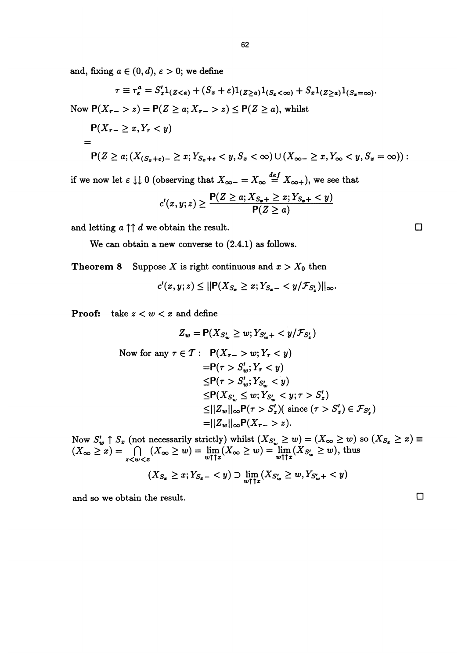and, fixing  $a \in (0, d)$ ,  $\varepsilon > 0$ ; we define

$$
\tau \equiv \tau_e^a = S_z' 1_{(Z < a)} + (S_x + \varepsilon) 1_{(Z \ge a)} 1_{(S_x < \infty)} + S_x 1_{(Z \ge a)} 1_{(S_x = \infty)}.
$$
\nNow  $P(X_{\tau-} > z) = P(Z \ge a; X_{\tau-} > z) \le P(Z \ge a)$ , whilst

\n
$$
P(X_{\tau-} \ge x, Y_{\tau} < y)
$$
\n
$$
= P(Z \ge a; (X_{(S_x + \varepsilon) -} \ge x; Y_{S_x + \varepsilon} < y, S_x < \infty) \cup (X_{\infty-} \ge x, Y_{\infty} < y, S_x = \infty))
$$

if we now let  $\varepsilon \downarrow \downarrow 0$  (observing that  $X_{\infty-} = X_{\infty} \stackrel{def}{=} X_{\infty+}$ ), we see that

$$
c'(x,y;z) \geq \frac{\mathsf{P}(Z \geq a; X_{S_x+} \geq x; Y_{S_x+} < y)}{\mathsf{P}(Z \geq a)}
$$

and letting  $a \uparrow \uparrow d$  we obtain the result.

We can obtain a new converse to (2.4.1) as follows.

**Theorem 8** Suppose X is right continuous and  $x > X_0$  then

$$
c'(x,y;z) \leq ||\mathbf{P}(X_{S_x} \geq x; Y_{S_x-} < y/\mathcal{F}_{S'_x})||_{\infty}.
$$

**Proof:** take  $z < w < x$  and define

$$
Z_w = \mathsf{P}(X_{S_w'} \ge w; Y_{S_w'} + \langle y/\mathcal{F}_{S_z'})
$$
  
Now for any  $\tau \in \mathcal{T}$ :  $\mathsf{P}(X_{\tau-} > w; Y_{\tau} < y)$   

$$
= \mathsf{P}(\tau > S_w'; Y_{\tau} < y)
$$
  

$$
\leq \mathsf{P}(\tau > S_w'; Y_{S_w'} < y)
$$
  

$$
\leq \mathsf{P}(X_{S_w'} \le w; Y_{S_w'} < y; \tau > S_z')
$$
  

$$
\leq ||Z_w||_{\infty} \mathsf{P}(\tau > S_z') ( \text{ since } (\tau > S_z') \in \mathcal{F}_{S_z'})
$$
  

$$
= ||Z_w||_{\infty} \mathsf{P}(X_{\tau-} > z).
$$

Now  $S'_w \uparrow S_x$  (not necessarily strictly) whilst  $(X_{S'_w} \ge w) = (X_\infty \ge w)$  so  $(X_{S_x} \ge x) \equiv$  $f(x) = \int_{-\infty}^{\infty} (X_{\infty} \ge w) = \lim_{w \uparrow \uparrow x} (X_{\infty} \ge w) = \lim_{w \uparrow \uparrow x} (X_{S_w} \ge w)$ , thus

$$
(X_{S_x} \geq x; Y_{S_x-} < y) \supset \lim_{w \uparrow \uparrow x} (X_{S'_w} \geq w, Y_{S'_w+} < y)
$$

and so we obtain the result.  $\Box$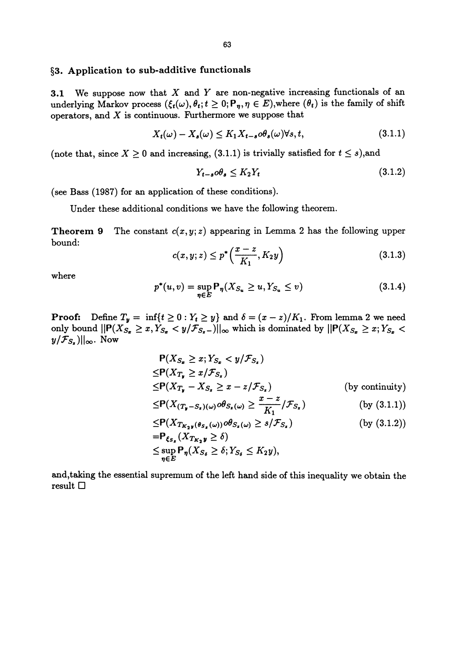## §3. Application to sub-additive functionals

3.1 We suppose now that  $X$  and  $Y$  are non-negative increasing functionals of an underlying Markov process  $({\xi_t(\omega)}, \theta_t; t \geq 0; P_\eta, \eta \in E)$ , where  $(\theta_t)$  is the family of shift operators, and  $X$  is continuous. Furthermore we suppose that

$$
X_t(\omega) - X_s(\omega) \le K_1 X_{t-s} \omega \theta_s(\omega) \forall s, t,
$$
\n(3.1.1)

(note that, since  $X \ge 0$  and increasing, (3.1.1) is trivially satisfied for  $t \le s$ ),and

$$
Y_{t-s} \circ \theta_s \le K_2 Y_t \tag{3.1.2}
$$

(see Bass (1987) for an application of these conditions).

Under these additional conditions we have the following theorem.

**Theorem 9** The constant  $c(x, y; z)$  appearing in Lemma 2 has the following upper bound:

$$
c(x, y; z) \le p^* \left( \frac{x - z}{K_1}, K_2 y \right)
$$
 (3.1.3)

where

$$
p^*(u, v) = \sup_{\eta \in E} \mathsf{P}_{\eta}(X_{S_u} \ge u, Y_{S_u} \le v) \tag{3.1.4}
$$

**Proof:** Define  $T_y = \inf\{t \ge 0 : Y_t \ge y\}$  and  $\delta = (x - z)/K_1$ . From lemma 2 we need only bound  $||P(X_{S_x} \ge x, Y_{S_x} < y/\mathcal{F}_{S_x})||_{\infty}$  which is dominated by  $||P(X_{S_x} \ge x; Y_{S_x} < y/\mathcal{F}_{S_x})||_{\infty}$ . Now

$$
P(X_{S_{\mathbf{z}}} \geq x; Y_{S_{\mathbf{z}}} < y/\mathcal{F}_{S_{\mathbf{z}}})
$$
\n
$$
\leq P(X_{T_{\mathbf{y}}} \geq x/\mathcal{F}_{S_{\mathbf{z}}})
$$
\n
$$
\leq P(X_{T_{\mathbf{y}}} - X_{S_{\mathbf{z}}} \geq x - z/\mathcal{F}_{S_{\mathbf{z}}}) \qquad \text{(by continuity)}
$$
\n
$$
\leq P(X_{(T_{\mathbf{y}} - S_{\mathbf{z}})(\omega)} \circ \theta_{S_{\mathbf{z}}(\omega)} \geq \frac{x - z}{K_1} / \mathcal{F}_{S_{\mathbf{z}}}) \qquad \text{(by (3.1.1))}
$$
\n
$$
\leq P(X_{T_{K_2\mathbf{y}}(\theta_{S_{\mathbf{z}}}(\omega))} \circ \theta_{S_{\mathbf{z}}(\omega)} \geq s/\mathcal{F}_{S_{\mathbf{z}}}) \qquad \text{(by (3.1.2))}
$$
\n
$$
= P_{\xi_{S_{\mathbf{z}}}}(X_{T_{K_2\mathbf{y}}} \geq \delta)
$$
\n
$$
\leq \sup_{\eta \in E} P_{\eta}(X_{S_{\delta}} \geq \delta; Y_{S_{\delta}} \leq K_2 y),
$$

and,taking the essential supremum of the left hand side of this inequality we obtain the result D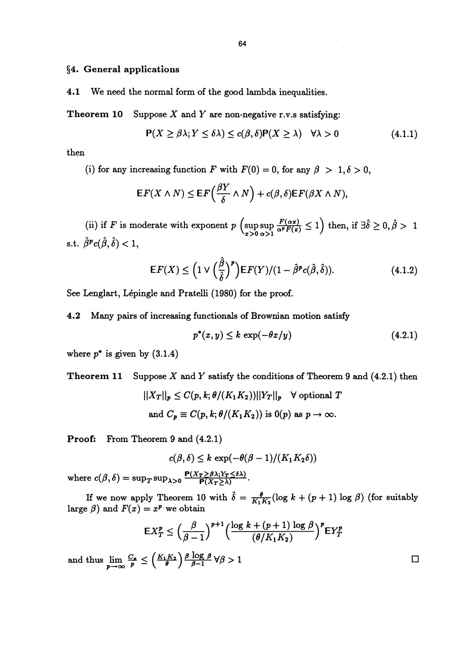§4. General applications

4.1 We need the normal form of the good lambda inequalities.

**Theorem 10** Suppose X and Y are non-negative r.v.s satisfying:

$$
\mathsf{P}(X \ge \beta \lambda; Y \le \delta \lambda) \le c(\beta, \delta) \mathsf{P}(X \ge \lambda) \quad \forall \lambda > 0 \tag{4.1.1}
$$

then

(i) for any increasing function F with  $F(0) = 0$ , for any  $\beta > 1, \delta > 0$ ,

$$
\mathsf{E} F(X \wedge N) \leq \mathsf{E} F\left(\frac{\beta Y}{\delta} \wedge N\right) + c(\beta, \delta) \mathsf{E} F(\beta X \wedge N),
$$

(ii) if F is moderate with exponent  $p \left( \text{sup sup } \frac{F(\alpha x)}{\alpha^p F(x)} \le 1 \right)$  then, if  $\exists \hat{\delta} \ge 0, \hat{\beta} > 1$ s.t.  $\rho^{r} c(\rho, \sigma) < 1$ ,

$$
\mathsf{E} F(X) \leq \left(1 \vee \left(\frac{\hat{\beta}}{\hat{\delta}}\right)^p\right) \mathsf{E} F(Y)/(1-\hat{\beta}^p c(\hat{\beta}, \hat{\delta})).\tag{4.1.2}
$$

See Lenglart, Lépingle and Pratelli (1980) for the proof.

4.2 Many pairs of increasing functionals of Brownian motion satisfy

$$
p^*(x, y) \le k \, \exp(-\theta x/y) \tag{4.2.1}
$$

where  $p^*$  is given by  $(3.1.4)$ 

**Theorem 11** Suppose X and Y satisfy the conditions of Theorem 9 and  $(4.2.1)$  then

$$
||X_T||_p \le C(p, k; \theta/(K_1 K_2))||Y_T||_p \quad \forall \text{ optional } T
$$
  
and  $C_p \equiv C(p, k; \theta/(K_1 K_2))$  is  $0(p)$  as  $p \to \infty$ .

Proof: From Theorem 9 and (4.2.1)

$$
c(\beta,\delta) \leq k \, \exp(-\theta(\beta-1)/(K_1K_2\delta))
$$

where  $c(\beta,\delta)=\sup_T \sup_{\lambda>0}\frac{\mathbf P(X_T\geq \beta \lambda; Y_T\leq \delta \lambda)}{\mathbf P(X_T\geq \lambda)}$ .

If we now apply Theorem 10 with  $\hat{\delta} = \frac{\theta}{K_1 K_2} (\log k + (p + 1) \log \beta)$  (for suitably large  $\beta$ ) and  $F(x) = x^p$  we obtain

$$
\mathsf{E}X_T^p \le \left(\frac{\beta}{\beta-1}\right)^{p+1} \left(\frac{\log k + (p+1)\log \beta}{(\theta/K_1K_2)}\right)^p \mathsf{E}Y_T^p
$$

and thus  $\lim_{p \to \infty} \frac{C_p}{p} \leq \left(\frac{K_1 K_2}{\theta}\right) \frac{\beta \log \beta}{\beta - 1} \forall \beta > 1$